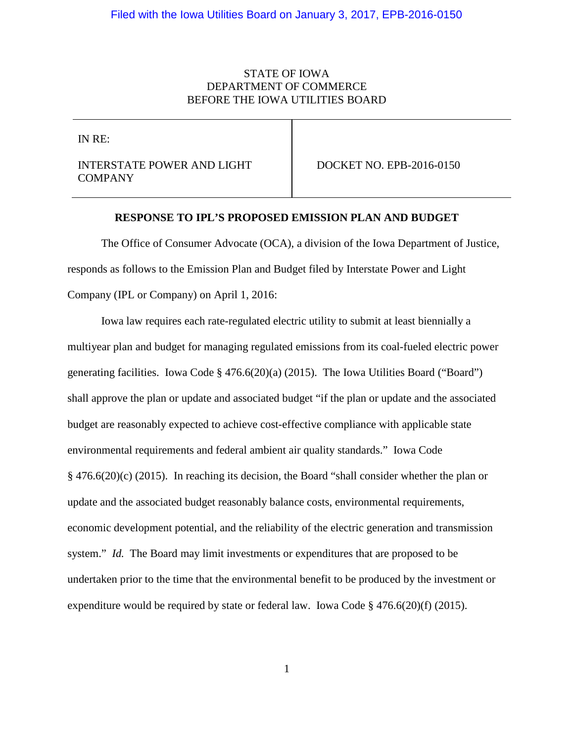## STATE OF IOWA DEPARTMENT OF COMMERCE BEFORE THE IOWA UTILITIES BOARD

IN RE:

INTERSTATE POWER AND LIGHT COMPANY

DOCKET NO. EPB-2016-0150

#### **RESPONSE TO IPL'S PROPOSED EMISSION PLAN AND BUDGET**

The Office of Consumer Advocate (OCA), a division of the Iowa Department of Justice, responds as follows to the Emission Plan and Budget filed by Interstate Power and Light Company (IPL or Company) on April 1, 2016:

Iowa law requires each rate-regulated electric utility to submit at least biennially a multiyear plan and budget for managing regulated emissions from its coal-fueled electric power generating facilities. Iowa Code § 476.6(20)(a) (2015). The Iowa Utilities Board ("Board") shall approve the plan or update and associated budget "if the plan or update and the associated budget are reasonably expected to achieve cost-effective compliance with applicable state environmental requirements and federal ambient air quality standards." Iowa Code § 476.6(20)(c) (2015). In reaching its decision, the Board "shall consider whether the plan or update and the associated budget reasonably balance costs, environmental requirements, economic development potential, and the reliability of the electric generation and transmission system." *Id.* The Board may limit investments or expenditures that are proposed to be undertaken prior to the time that the environmental benefit to be produced by the investment or expenditure would be required by state or federal law. Iowa Code § 476.6(20)(f) (2015).

1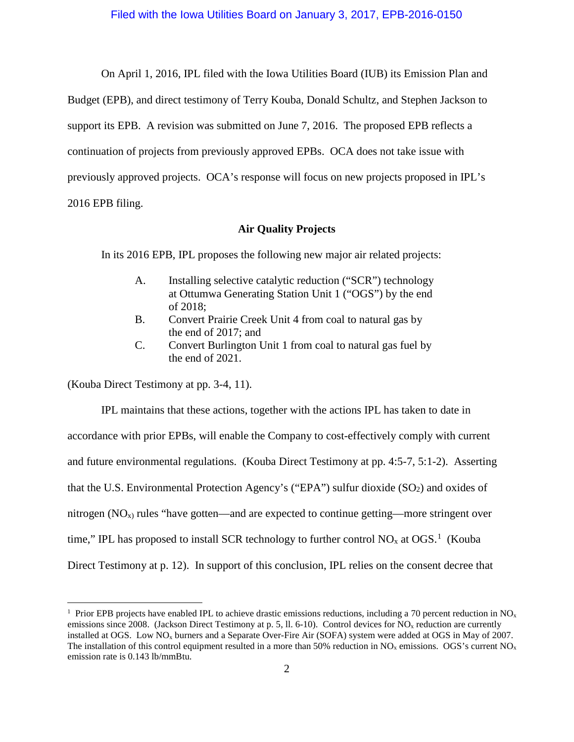On April 1, 2016, IPL filed with the Iowa Utilities Board (IUB) its Emission Plan and Budget (EPB), and direct testimony of Terry Kouba, Donald Schultz, and Stephen Jackson to support its EPB. A revision was submitted on June 7, 2016. The proposed EPB reflects a continuation of projects from previously approved EPBs. OCA does not take issue with previously approved projects. OCA's response will focus on new projects proposed in IPL's 2016 EPB filing.

**Air Quality Projects**

In its 2016 EPB, IPL proposes the following new major air related projects:

- A. Installing selective catalytic reduction ("SCR") technology at Ottumwa Generating Station Unit 1 ("OGS") by the end of 2018;
- B. Convert Prairie Creek Unit 4 from coal to natural gas by the end of 2017; and
- C. Convert Burlington Unit 1 from coal to natural gas fuel by the end of 2021.

(Kouba Direct Testimony at pp. 3-4, 11).

IPL maintains that these actions, together with the actions IPL has taken to date in accordance with prior EPBs, will enable the Company to cost-effectively comply with current and future environmental regulations. (Kouba Direct Testimony at pp. 4:5-7, 5:1-2). Asserting that the U.S. Environmental Protection Agency's ("EPA") sulfur dioxide  $(SO<sub>2</sub>)$  and oxides of nitrogen  $(NO<sub>x</sub>)$  rules "have gotten—and are expected to continue getting—more stringent over time," IPL has proposed to install SCR technology to further control NO<sub>x</sub> at OGS.<sup>[1](#page-1-0)</sup> (Kouba Direct Testimony at p. 12). In support of this conclusion, IPL relies on the consent decree that

<span id="page-1-0"></span> $\frac{1}{1}$ <sup>1</sup> Prior EPB projects have enabled IPL to achieve drastic emissions reductions, including a 70 percent reduction in NO<sub>x</sub> emissions since 2008. (Jackson Direct Testimony at p. 5, ll. 6-10). Control devices for  $NO<sub>x</sub>$  reduction are currently installed at OGS. Low NO<sub>x</sub> burners and a Separate Over-Fire Air (SOFA) system were added at OGS in May of 2007. The installation of this control equipment resulted in a more than 50% reduction in  $NO_x$  emissions. OGS's current  $NO_x$ emission rate is 0.143 lb/mmBtu.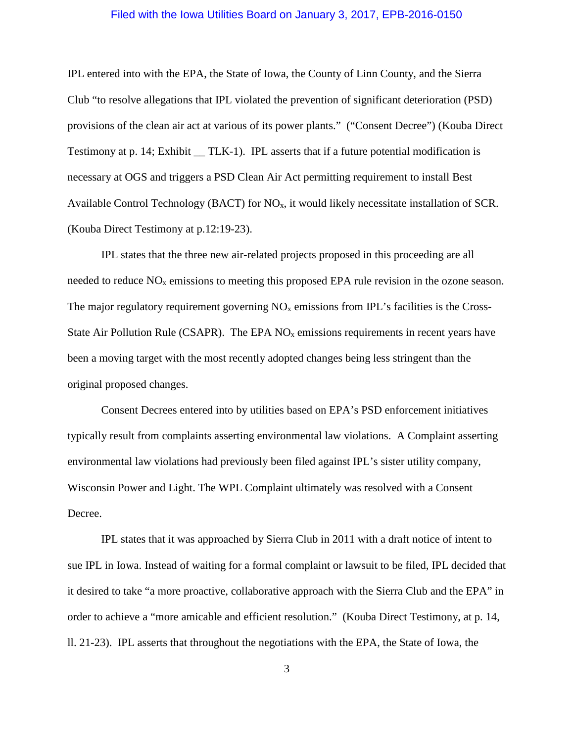IPL entered into with the EPA, the State of Iowa, the County of Linn County, and the Sierra Club "to resolve allegations that IPL violated the prevention of significant deterioration (PSD) provisions of the clean air act at various of its power plants." ("Consent Decree") (Kouba Direct Testimony at p. 14; Exhibit TLK-1). IPL asserts that if a future potential modification is necessary at OGS and triggers a PSD Clean Air Act permitting requirement to install Best Available Control Technology (BACT) for  $NO<sub>x</sub>$ , it would likely necessitate installation of SCR. (Kouba Direct Testimony at p.12:19-23).

IPL states that the three new air-related projects proposed in this proceeding are all needed to reduce  $NO<sub>x</sub>$  emissions to meeting this proposed EPA rule revision in the ozone season. The major regulatory requirement governing  $NO<sub>x</sub>$  emissions from IPL's facilities is the Cross-State Air Pollution Rule (CSAPR). The EPA  $NO<sub>x</sub>$  emissions requirements in recent years have been a moving target with the most recently adopted changes being less stringent than the original proposed changes.

Consent Decrees entered into by utilities based on EPA's PSD enforcement initiatives typically result from complaints asserting environmental law violations. A Complaint asserting environmental law violations had previously been filed against IPL's sister utility company, Wisconsin Power and Light. The WPL Complaint ultimately was resolved with a Consent Decree.

IPL states that it was approached by Sierra Club in 2011 with a draft notice of intent to sue IPL in Iowa. Instead of waiting for a formal complaint or lawsuit to be filed, IPL decided that it desired to take "a more proactive, collaborative approach with the Sierra Club and the EPA" in order to achieve a "more amicable and efficient resolution." (Kouba Direct Testimony, at p. 14, ll. 21-23). IPL asserts that throughout the negotiations with the EPA, the State of Iowa, the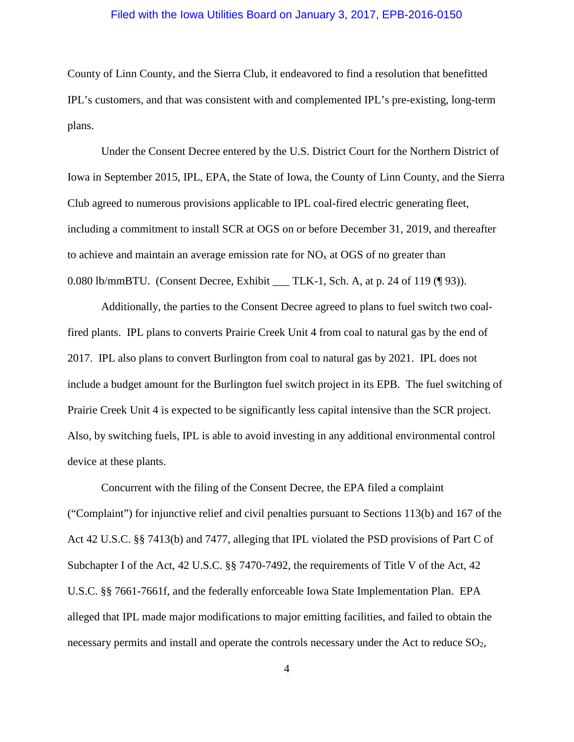County of Linn County, and the Sierra Club, it endeavored to find a resolution that benefitted IPL's customers, and that was consistent with and complemented IPL's pre-existing, long-term plans.

Under the Consent Decree entered by the U.S. District Court for the Northern District of Iowa in September 2015, IPL, EPA, the State of Iowa, the County of Linn County, and the Sierra Club agreed to numerous provisions applicable to IPL coal-fired electric generating fleet, including a commitment to install SCR at OGS on or before December 31, 2019, and thereafter to achieve and maintain an average emission rate for  $NO<sub>x</sub>$  at OGS of no greater than 0.080 lb/mmBTU. (Consent Decree, Exhibit TLK-1, Sch. A, at p. 24 of 119 (¶ 93)).

Additionally, the parties to the Consent Decree agreed to plans to fuel switch two coalfired plants. IPL plans to converts Prairie Creek Unit 4 from coal to natural gas by the end of 2017. IPL also plans to convert Burlington from coal to natural gas by 2021. IPL does not include a budget amount for the Burlington fuel switch project in its EPB. The fuel switching of Prairie Creek Unit 4 is expected to be significantly less capital intensive than the SCR project. Also, by switching fuels, IPL is able to avoid investing in any additional environmental control device at these plants.

Concurrent with the filing of the Consent Decree, the EPA filed a complaint ("Complaint") for injunctive relief and civil penalties pursuant to Sections 113(b) and 167 of the Act 42 U.S.C. §§ 7413(b) and 7477, alleging that IPL violated the PSD provisions of Part C of Subchapter I of the Act, 42 U.S.C. §§ 7470-7492, the requirements of Title V of the Act, 42 U.S.C. §§ 7661-7661f, and the federally enforceable Iowa State Implementation Plan. EPA alleged that IPL made major modifications to major emitting facilities, and failed to obtain the necessary permits and install and operate the controls necessary under the Act to reduce SO<sub>2</sub>,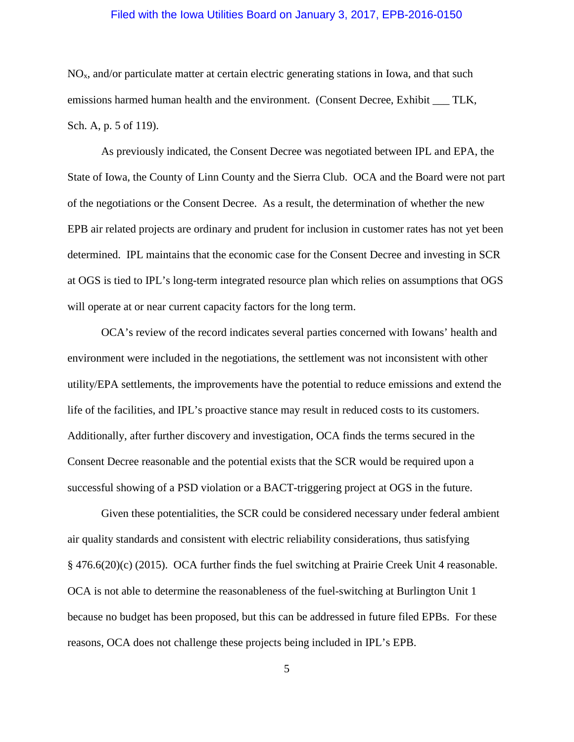NOx, and/or particulate matter at certain electric generating stations in Iowa, and that such emissions harmed human health and the environment. (Consent Decree, Exhibit TLK, Sch. A, p. 5 of 119).

As previously indicated, the Consent Decree was negotiated between IPL and EPA, the State of Iowa, the County of Linn County and the Sierra Club. OCA and the Board were not part of the negotiations or the Consent Decree. As a result, the determination of whether the new EPB air related projects are ordinary and prudent for inclusion in customer rates has not yet been determined. IPL maintains that the economic case for the Consent Decree and investing in SCR at OGS is tied to IPL's long-term integrated resource plan which relies on assumptions that OGS will operate at or near current capacity factors for the long term.

OCA's review of the record indicates several parties concerned with Iowans' health and environment were included in the negotiations, the settlement was not inconsistent with other utility/EPA settlements, the improvements have the potential to reduce emissions and extend the life of the facilities, and IPL's proactive stance may result in reduced costs to its customers. Additionally, after further discovery and investigation, OCA finds the terms secured in the Consent Decree reasonable and the potential exists that the SCR would be required upon a successful showing of a PSD violation or a BACT-triggering project at OGS in the future.

Given these potentialities, the SCR could be considered necessary under federal ambient air quality standards and consistent with electric reliability considerations, thus satisfying § 476.6(20)(c) (2015). OCA further finds the fuel switching at Prairie Creek Unit 4 reasonable. OCA is not able to determine the reasonableness of the fuel-switching at Burlington Unit 1 because no budget has been proposed, but this can be addressed in future filed EPBs. For these reasons, OCA does not challenge these projects being included in IPL's EPB.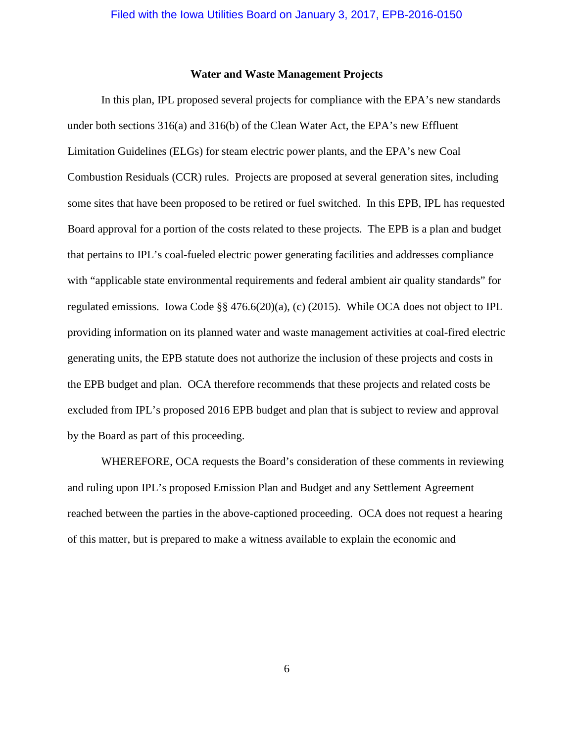#### **Water and Waste Management Projects**

In this plan, IPL proposed several projects for compliance with the EPA's new standards under both sections  $316(a)$  and  $316(b)$  of the Clean Water Act, the EPA's new Effluent Limitation Guidelines (ELGs) for steam electric power plants, and the EPA's new Coal Combustion Residuals (CCR) rules. Projects are proposed at several generation sites, including some sites that have been proposed to be retired or fuel switched. In this EPB, IPL has requested Board approval for a portion of the costs related to these projects. The EPB is a plan and budget that pertains to IPL's coal-fueled electric power generating facilities and addresses compliance with "applicable state environmental requirements and federal ambient air quality standards" for regulated emissions. Iowa Code §§ 476.6(20)(a), (c) (2015). While OCA does not object to IPL providing information on its planned water and waste management activities at coal-fired electric generating units, the EPB statute does not authorize the inclusion of these projects and costs in the EPB budget and plan. OCA therefore recommends that these projects and related costs be excluded from IPL's proposed 2016 EPB budget and plan that is subject to review and approval by the Board as part of this proceeding.

WHEREFORE, OCA requests the Board's consideration of these comments in reviewing and ruling upon IPL's proposed Emission Plan and Budget and any Settlement Agreement reached between the parties in the above-captioned proceeding. OCA does not request a hearing of this matter, but is prepared to make a witness available to explain the economic and

6